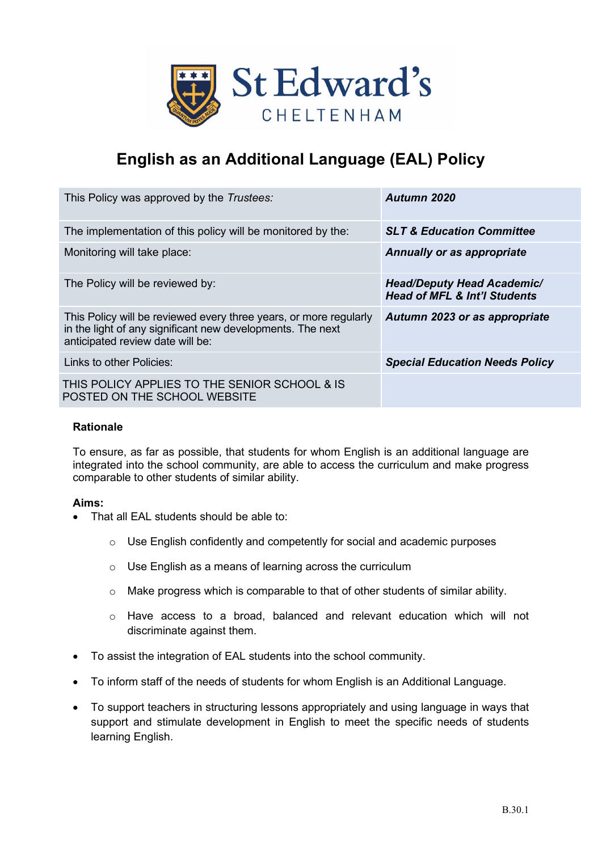

# **English as an Additional Language (EAL) Policy**

| This Policy was approved by the Trustees:                                                                                                                           | Autumn 2020                                                                  |
|---------------------------------------------------------------------------------------------------------------------------------------------------------------------|------------------------------------------------------------------------------|
| The implementation of this policy will be monitored by the:                                                                                                         | <b>SLT &amp; Education Committee</b>                                         |
| Monitoring will take place:                                                                                                                                         | Annually or as appropriate                                                   |
| The Policy will be reviewed by:                                                                                                                                     | <b>Head/Deputy Head Academic/</b><br><b>Head of MFL &amp; Int'l Students</b> |
| This Policy will be reviewed every three years, or more regularly<br>in the light of any significant new developments. The next<br>anticipated review date will be: | Autumn 2023 or as appropriate                                                |
| I inks to other Policies:                                                                                                                                           | <b>Special Education Needs Policy</b>                                        |
| THIS POLICY APPLIES TO THE SENIOR SCHOOL & IS<br>POSTED ON THE SCHOOL WEBSITE                                                                                       |                                                                              |

### **Rationale**

To ensure, as far as possible, that students for whom English is an additional language are integrated into the school community, are able to access the curriculum and make progress comparable to other students of similar ability.

### **Aims:**

- That all FAL students should be able to:
	- o Use English confidently and competently for social and academic purposes
	- o Use English as a means of learning across the curriculum
	- o Make progress which is comparable to that of other students of similar ability.
	- $\circ$  Have access to a broad, balanced and relevant education which will not discriminate against them.
- To assist the integration of EAL students into the school community.
- To inform staff of the needs of students for whom English is an Additional Language.
- To support teachers in structuring lessons appropriately and using language in ways that support and stimulate development in English to meet the specific needs of students learning English.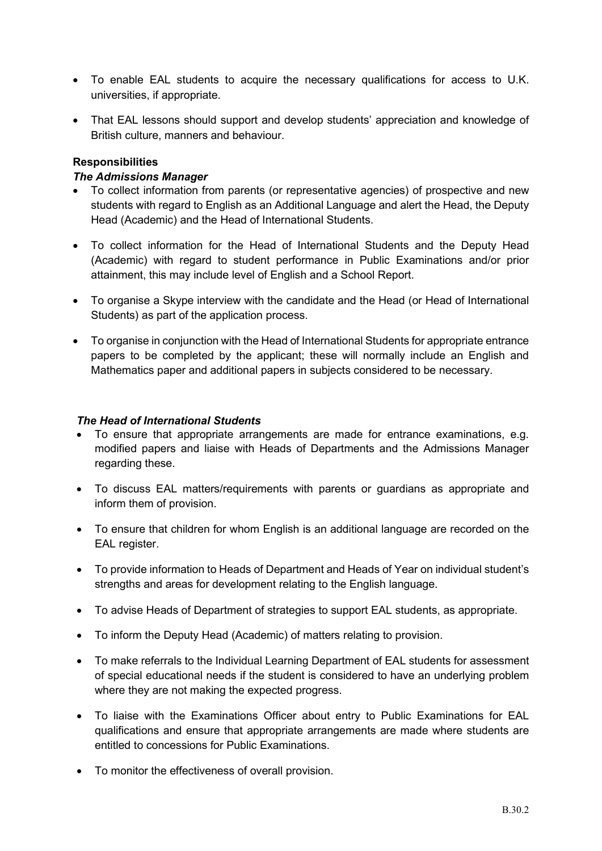- To enable EAL students to acquire the necessary qualifications for access to U.K. universities, if appropriate.
- That EAL lessons should support and develop students' appreciation and knowledge of British culture, manners and behaviour.

# **Responsibilities**

## *The Admissions Manager*

- To collect information from parents (or representative agencies) of prospective and new students with regard to English as an Additional Language and alert the Head, the Deputy Head (Academic) and the Head of International Students.
- To collect information for the Head of International Students and the Deputy Head (Academic) with regard to student performance in Public Examinations and/or prior attainment, this may include level of English and a School Report.
- To organise a Skype interview with the candidate and the Head (or Head of International Students) as part of the application process.
- To organise in conjunction with the Head of International Students for appropriate entrance papers to be completed by the applicant; these will normally include an English and Mathematics paper and additional papers in subjects considered to be necessary.

## *The Head of International Students*

- To ensure that appropriate arrangements are made for entrance examinations, e.g. modified papers and liaise with Heads of Departments and the Admissions Manager regarding these.
- To discuss EAL matters/requirements with parents or guardians as appropriate and inform them of provision.
- To ensure that children for whom English is an additional language are recorded on the EAL register.
- To provide information to Heads of Department and Heads of Year on individual student's strengths and areas for development relating to the English language.
- To advise Heads of Department of strategies to support EAL students, as appropriate.
- To inform the Deputy Head (Academic) of matters relating to provision.
- To make referrals to the Individual Learning Department of EAL students for assessment of special educational needs if the student is considered to have an underlying problem where they are not making the expected progress.
- To liaise with the Examinations Officer about entry to Public Examinations for EAL qualifications and ensure that appropriate arrangements are made where students are entitled to concessions for Public Examinations.
- To monitor the effectiveness of overall provision.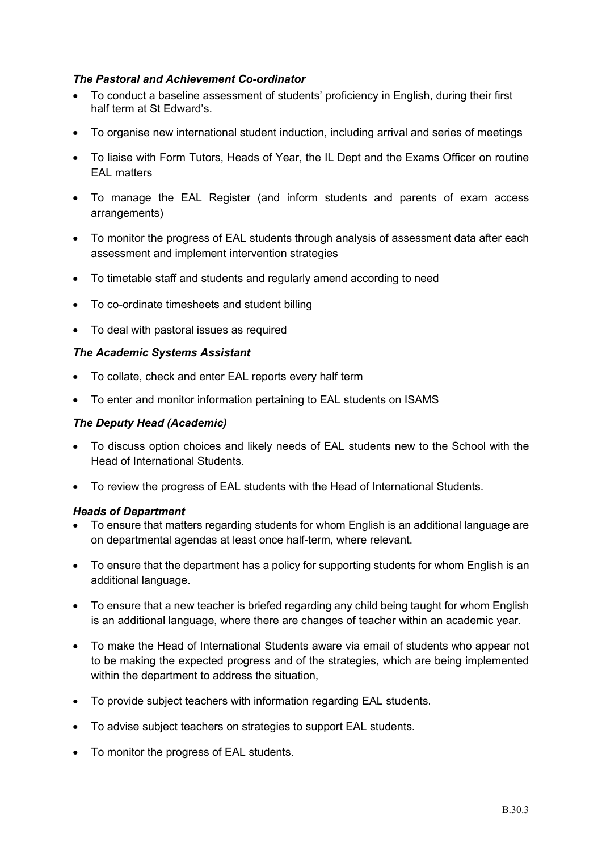## *The Pastoral and Achievement Co-ordinator*

- To conduct a baseline assessment of students' proficiency in English, during their first half term at St Edward's.
- To organise new international student induction, including arrival and series of meetings
- To liaise with Form Tutors, Heads of Year, the IL Dept and the Exams Officer on routine EAL matters
- To manage the EAL Register (and inform students and parents of exam access arrangements)
- To monitor the progress of EAL students through analysis of assessment data after each assessment and implement intervention strategies
- To timetable staff and students and regularly amend according to need
- To co-ordinate timesheets and student billing
- To deal with pastoral issues as required

### *The Academic Systems Assistant*

- To collate, check and enter EAL reports every half term
- To enter and monitor information pertaining to EAL students on ISAMS

## *The Deputy Head (Academic)*

- To discuss option choices and likely needs of EAL students new to the School with the Head of International Students.
- To review the progress of EAL students with the Head of International Students.

### *Heads of Department*

- To ensure that matters regarding students for whom English is an additional language are on departmental agendas at least once half-term, where relevant.
- To ensure that the department has a policy for supporting students for whom English is an additional language.
- To ensure that a new teacher is briefed regarding any child being taught for whom English is an additional language, where there are changes of teacher within an academic year.
- To make the Head of International Students aware via email of students who appear not to be making the expected progress and of the strategies, which are being implemented within the department to address the situation,
- To provide subject teachers with information regarding EAL students.
- To advise subject teachers on strategies to support EAL students.
- To monitor the progress of EAL students.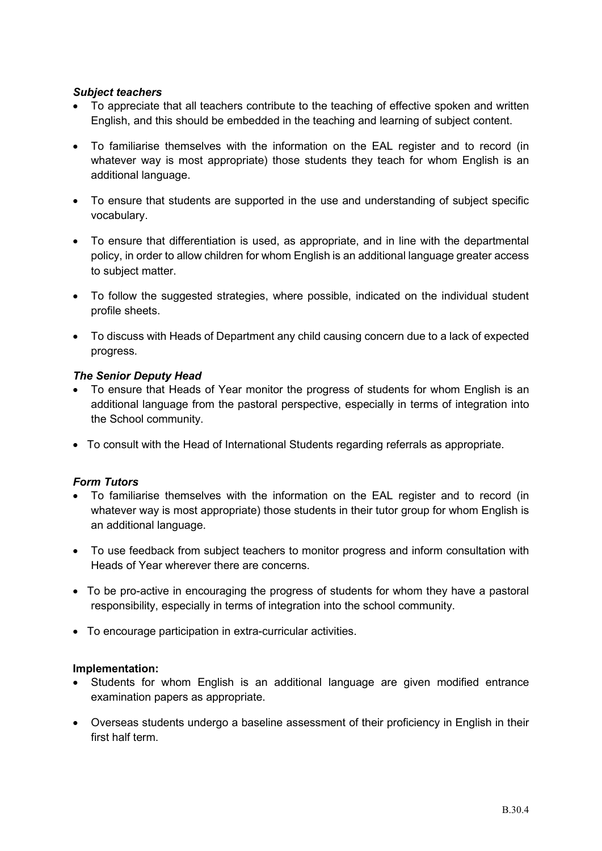# *Subject teachers*

- To appreciate that all teachers contribute to the teaching of effective spoken and written English, and this should be embedded in the teaching and learning of subject content.
- To familiarise themselves with the information on the EAL register and to record (in whatever way is most appropriate) those students they teach for whom English is an additional language.
- To ensure that students are supported in the use and understanding of subject specific vocabulary.
- To ensure that differentiation is used, as appropriate, and in line with the departmental policy, in order to allow children for whom English is an additional language greater access to subject matter.
- To follow the suggested strategies, where possible, indicated on the individual student profile sheets.
- To discuss with Heads of Department any child causing concern due to a lack of expected progress.

# *The Senior Deputy Head*

- To ensure that Heads of Year monitor the progress of students for whom English is an additional language from the pastoral perspective, especially in terms of integration into the School community.
- To consult with the Head of International Students regarding referrals as appropriate.

# *Form Tutors*

- To familiarise themselves with the information on the EAL register and to record (in whatever way is most appropriate) those students in their tutor group for whom English is an additional language.
- To use feedback from subject teachers to monitor progress and inform consultation with Heads of Year wherever there are concerns.
- To be pro-active in encouraging the progress of students for whom they have a pastoral responsibility, especially in terms of integration into the school community.
- To encourage participation in extra-curricular activities.

### **Implementation:**

- Students for whom English is an additional language are given modified entrance examination papers as appropriate.
- Overseas students undergo a baseline assessment of their proficiency in English in their first half term